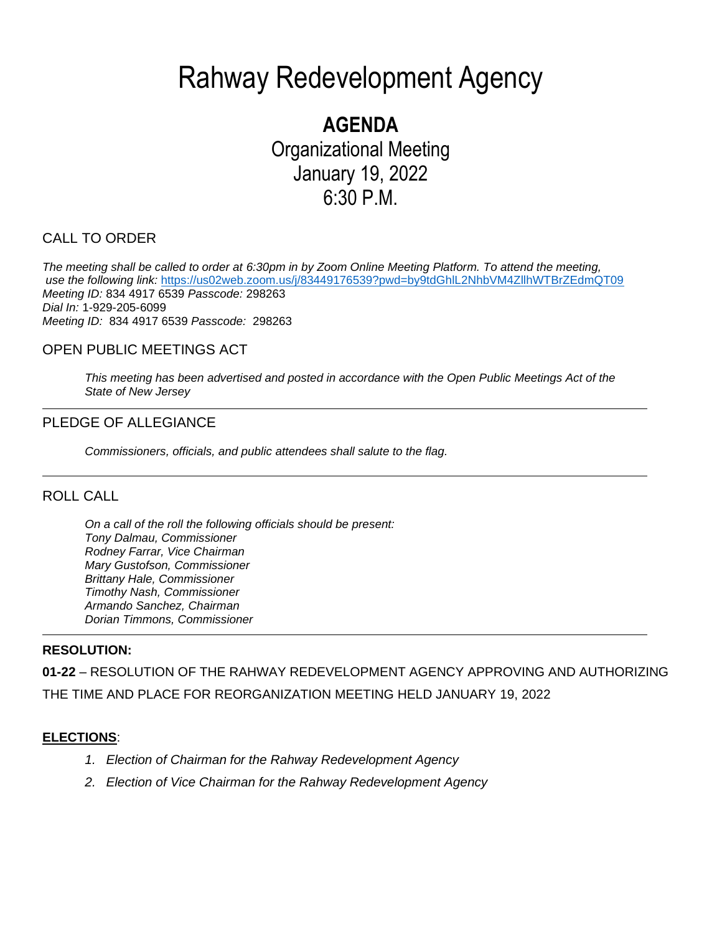# Rahway Redevelopment Agency

# **AGENDA** Organizational Meeting January 19, 2022 6:30 P.M.

# CALL TO ORDER

*The meeting shall be called to order at 6:30pm in by Zoom Online Meeting Platform. To attend the meeting, use the following link:* <https://us02web.zoom.us/j/83449176539?pwd=by9tdGhlL2NhbVM4ZllhWTBrZEdmQT09> *Meeting ID:* 834 4917 6539 *Passcode:* 298263 *Dial In:* 1-929-205-6099 *Meeting ID:* 834 4917 6539 *Passcode:* 298263

### OPEN PUBLIC MEETINGS ACT

*This meeting has been advertised and posted in accordance with the Open Public Meetings Act of the State of New Jersey*

#### PLEDGE OF ALLEGIANCE

*Commissioners, officials, and public attendees shall salute to the flag.*

#### ROLL CALL

*On a call of the roll the following officials should be present: Tony Dalmau, Commissioner Rodney Farrar, Vice Chairman Mary Gustofson, Commissioner Brittany Hale, Commissioner Timothy Nash, Commissioner Armando Sanchez, Chairman Dorian Timmons, Commissioner*

#### **RESOLUTION:**

**01-22** – RESOLUTION OF THE RAHWAY REDEVELOPMENT AGENCY APPROVING AND AUTHORIZING THE TIME AND PLACE FOR REORGANIZATION MEETING HELD JANUARY 19, 2022

#### **ELECTIONS**:

- *1. Election of Chairman for the Rahway Redevelopment Agency*
- *2. Election of Vice Chairman for the Rahway Redevelopment Agency*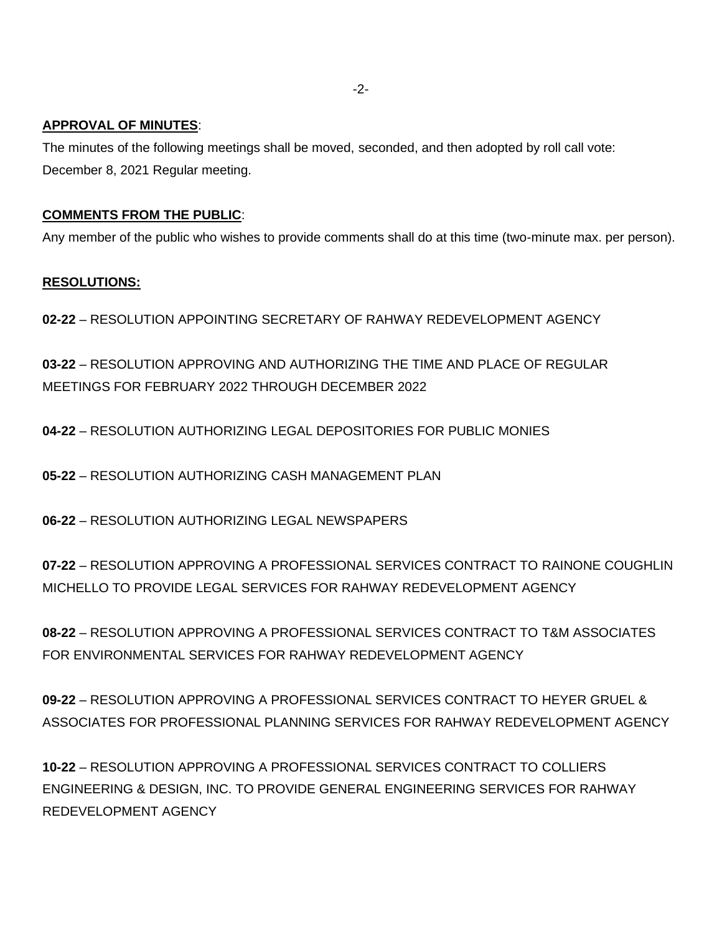#### **APPROVAL OF MINUTES**:

The minutes of the following meetings shall be moved, seconded, and then adopted by roll call vote: December 8, 2021 Regular meeting.

#### **COMMENTS FROM THE PUBLIC**:

Any member of the public who wishes to provide comments shall do at this time (two-minute max. per person).

#### **RESOLUTIONS:**

**02-22** – RESOLUTION APPOINTING SECRETARY OF RAHWAY REDEVELOPMENT AGENCY

**03-22** – RESOLUTION APPROVING AND AUTHORIZING THE TIME AND PLACE OF REGULAR MEETINGS FOR FEBRUARY 2022 THROUGH DECEMBER 2022

**04-22** – RESOLUTION AUTHORIZING LEGAL DEPOSITORIES FOR PUBLIC MONIES

**05-22** – RESOLUTION AUTHORIZING CASH MANAGEMENT PLAN

**06-22** – RESOLUTION AUTHORIZING LEGAL NEWSPAPERS

**07-22** – RESOLUTION APPROVING A PROFESSIONAL SERVICES CONTRACT TO RAINONE COUGHLIN MICHELLO TO PROVIDE LEGAL SERVICES FOR RAHWAY REDEVELOPMENT AGENCY

**08-22** – RESOLUTION APPROVING A PROFESSIONAL SERVICES CONTRACT TO T&M ASSOCIATES FOR ENVIRONMENTAL SERVICES FOR RAHWAY REDEVELOPMENT AGENCY

**09-22** – RESOLUTION APPROVING A PROFESSIONAL SERVICES CONTRACT TO HEYER GRUEL & ASSOCIATES FOR PROFESSIONAL PLANNING SERVICES FOR RAHWAY REDEVELOPMENT AGENCY

**10-22** – RESOLUTION APPROVING A PROFESSIONAL SERVICES CONTRACT TO COLLIERS ENGINEERING & DESIGN, INC. TO PROVIDE GENERAL ENGINEERING SERVICES FOR RAHWAY REDEVELOPMENT AGENCY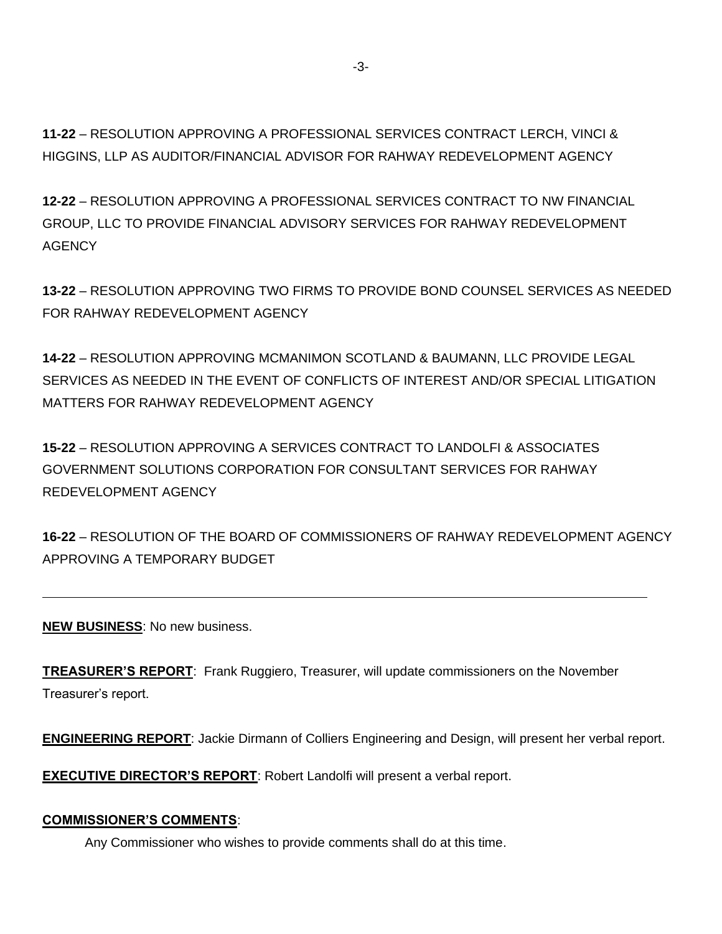**11-22** – RESOLUTION APPROVING A PROFESSIONAL SERVICES CONTRACT LERCH, VINCI & HIGGINS, LLP AS AUDITOR/FINANCIAL ADVISOR FOR RAHWAY REDEVELOPMENT AGENCY

**12-22** – RESOLUTION APPROVING A PROFESSIONAL SERVICES CONTRACT TO NW FINANCIAL GROUP, LLC TO PROVIDE FINANCIAL ADVISORY SERVICES FOR RAHWAY REDEVELOPMENT **AGENCY** 

**13-22** – RESOLUTION APPROVING TWO FIRMS TO PROVIDE BOND COUNSEL SERVICES AS NEEDED FOR RAHWAY REDEVELOPMENT AGENCY

**14-22** – RESOLUTION APPROVING MCMANIMON SCOTLAND & BAUMANN, LLC PROVIDE LEGAL SERVICES AS NEEDED IN THE EVENT OF CONFLICTS OF INTEREST AND/OR SPECIAL LITIGATION MATTERS FOR RAHWAY REDEVELOPMENT AGENCY

**15-22** – RESOLUTION APPROVING A SERVICES CONTRACT TO LANDOLFI & ASSOCIATES GOVERNMENT SOLUTIONS CORPORATION FOR CONSULTANT SERVICES FOR RAHWAY REDEVELOPMENT AGENCY

**16-22** – RESOLUTION OF THE BOARD OF COMMISSIONERS OF RAHWAY REDEVELOPMENT AGENCY APPROVING A TEMPORARY BUDGET

**NEW BUSINESS**: No new business.

**TREASURER'S REPORT**: Frank Ruggiero, Treasurer, will update commissioners on the November Treasurer's report.

**ENGINEERING REPORT**: Jackie Dirmann of Colliers Engineering and Design, will present her verbal report.

**EXECUTIVE DIRECTOR'S REPORT**: Robert Landolfi will present a verbal report.

#### **COMMISSIONER'S COMMENTS**:

Any Commissioner who wishes to provide comments shall do at this time.